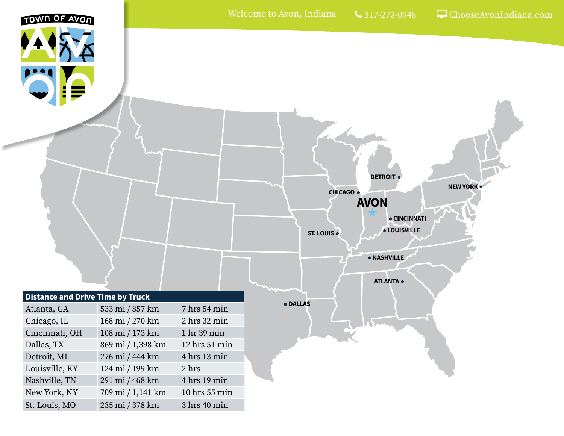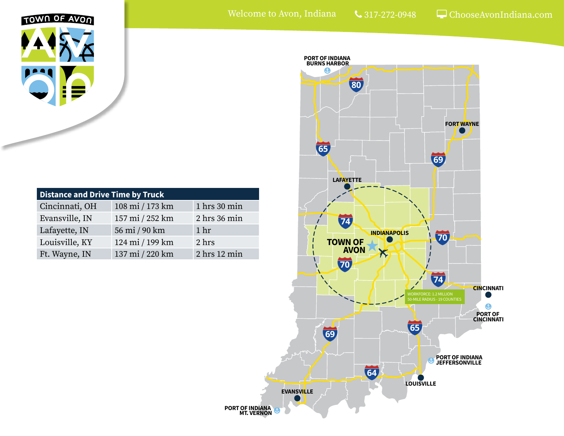

| <b>Distance and Drive Time by Truck</b> |                 |                  |
|-----------------------------------------|-----------------|------------------|
| Cincinnati, OH                          | 108 mi / 173 km | 1 hrs 30 min     |
| Evansville, IN                          | 157 mi / 252 km | 2 hrs 36 min     |
| Lafayette, IN                           | 56 mi / 90 km   | 1 <sup>hr</sup>  |
| Louisville, KY                          | 124 mi / 199 km | 2 hrs            |
| Ft. Wayne, IN                           | 137 mi / 220 km | $2$ hrs $12$ min |